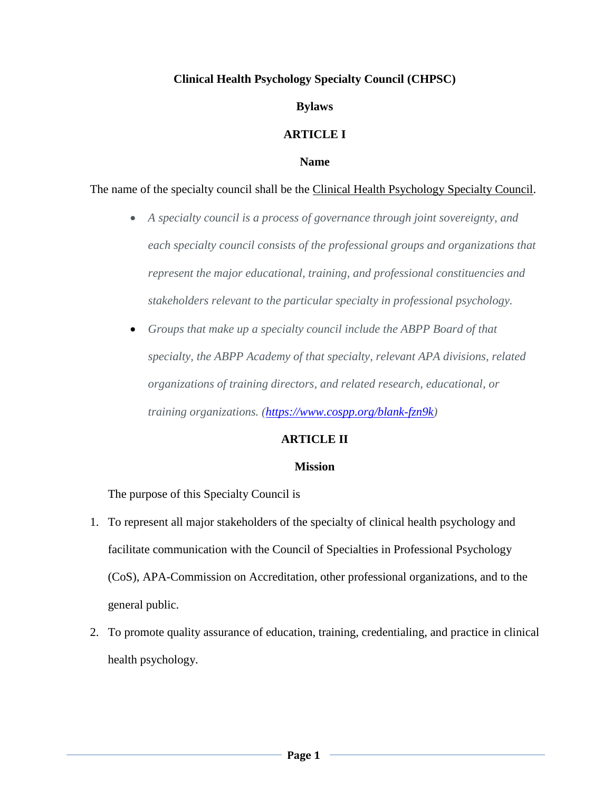## **Clinical Health Psychology Specialty Council (CHPSC)**

### **Bylaws**

## **ARTICLE I**

#### **Name**

#### The name of the specialty council shall be the Clinical Health Psychology Specialty Council.

- *A specialty council is a process of governance through joint sovereignty, and each specialty council consists of the professional groups and organizations that represent the major educational, training, and professional constituencies and stakeholders relevant to the particular specialty in professional psychology.*
- *Groups that make up a specialty council include the ABPP Board of that specialty, the ABPP Academy of that specialty, relevant APA divisions, related organizations of training directors, and related research, educational, or training organizations. [\(https://www.cospp.org/blank-fzn9k\)](https://www.cospp.org/blank-fzn9k)*

## **ARTICLE II**

#### **Mission**

The purpose of this Specialty Council is

- 1. To represent all major stakeholders of the specialty of clinical health psychology and facilitate communication with the Council of Specialties in Professional Psychology (CoS), APA-Commission on Accreditation, other professional organizations, and to the general public.
- 2. To promote quality assurance of education, training, credentialing, and practice in clinical health psychology.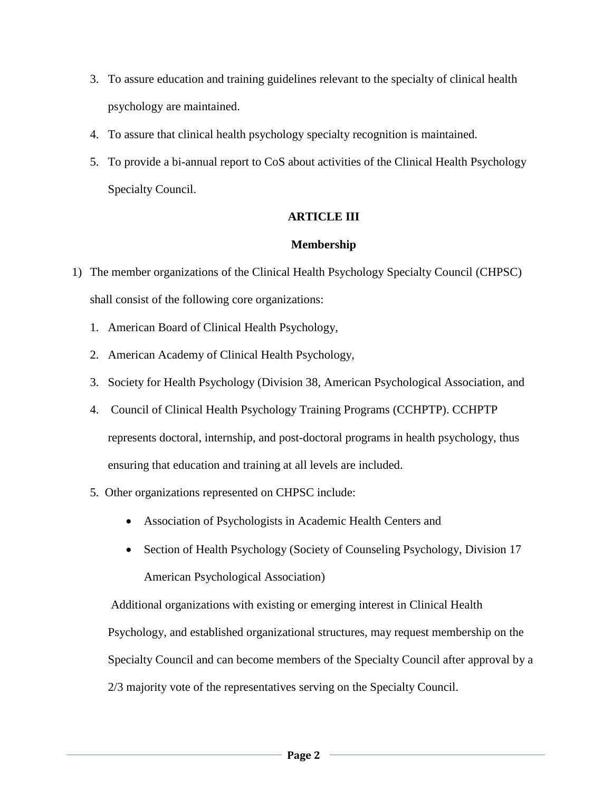- 3. To assure education and training guidelines relevant to the specialty of clinical health psychology are maintained.
- 4. To assure that clinical health psychology specialty recognition is maintained.
- 5. To provide a bi-annual report to CoS about activities of the Clinical Health Psychology Specialty Council.

# **ARTICLE III**

## **Membership**

- 1) The member organizations of the Clinical Health Psychology Specialty Council (CHPSC) shall consist of the following core organizations:
	- 1. American Board of Clinical Health Psychology,
	- 2. American Academy of Clinical Health Psychology,
	- 3. Society for Health Psychology (Division 38, American Psychological Association, and
	- 4. Council of Clinical Health Psychology Training Programs (CCHPTP). CCHPTP represents doctoral, internship, and post-doctoral programs in health psychology, thus ensuring that education and training at all levels are included.
	- 5. Other organizations represented on CHPSC include:
		- Association of Psychologists in Academic Health Centers and
		- Section of Health Psychology (Society of Counseling Psychology, Division 17 American Psychological Association)

Additional organizations with existing or emerging interest in Clinical Health Psychology, and established organizational structures, may request membership on the Specialty Council and can become members of the Specialty Council after approval by a 2/3 majority vote of the representatives serving on the Specialty Council.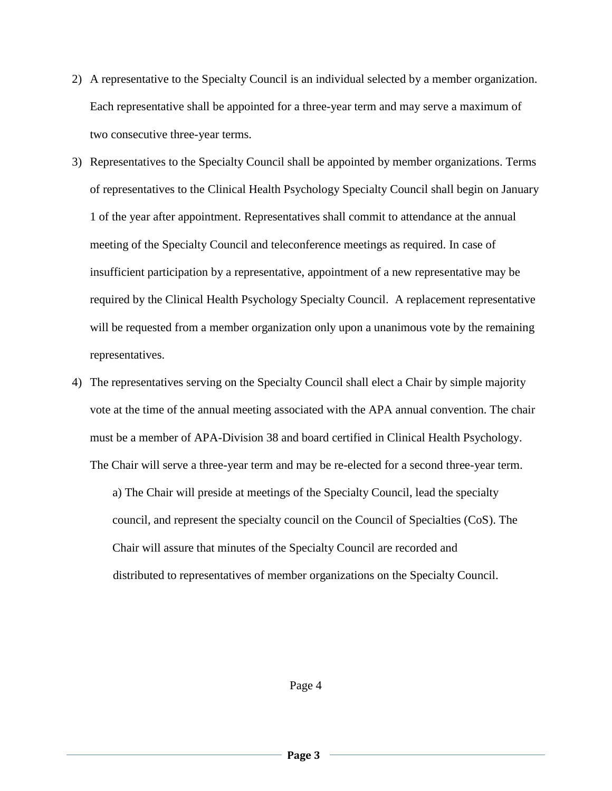- 2) A representative to the Specialty Council is an individual selected by a member organization. Each representative shall be appointed for a three-year term and may serve a maximum of two consecutive three-year terms.
- 3) Representatives to the Specialty Council shall be appointed by member organizations. Terms of representatives to the Clinical Health Psychology Specialty Council shall begin on January 1 of the year after appointment. Representatives shall commit to attendance at the annual meeting of the Specialty Council and teleconference meetings as required. In case of insufficient participation by a representative, appointment of a new representative may be required by the Clinical Health Psychology Specialty Council. A replacement representative will be requested from a member organization only upon a unanimous vote by the remaining representatives.
- 4) The representatives serving on the Specialty Council shall elect a Chair by simple majority vote at the time of the annual meeting associated with the APA annual convention. The chair must be a member of APA-Division 38 and board certified in Clinical Health Psychology. The Chair will serve a three-year term and may be re-elected for a second three-year term.

a) The Chair will preside at meetings of the Specialty Council, lead the specialty council, and represent the specialty council on the Council of Specialties (CoS). The Chair will assure that minutes of the Specialty Council are recorded and distributed to representatives of member organizations on the Specialty Council.

Page 4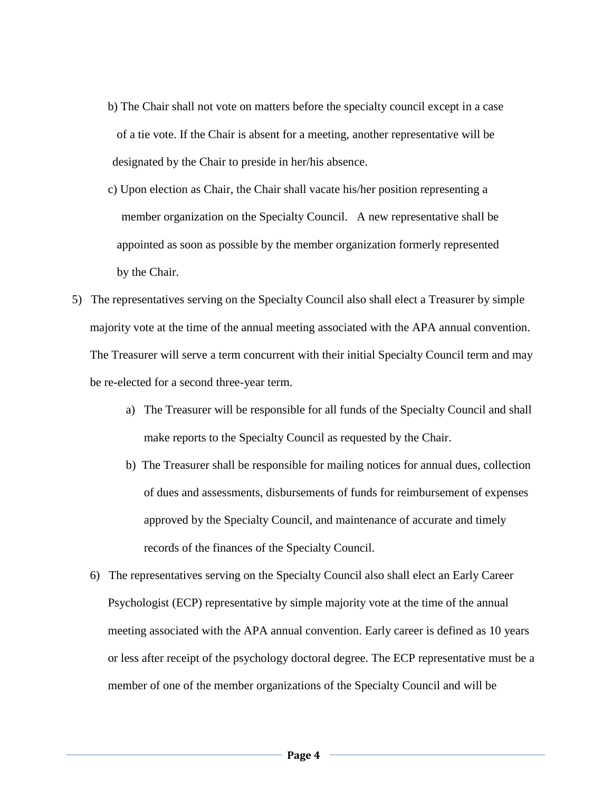- b) The Chair shall not vote on matters before the specialty council except in a case of a tie vote. If the Chair is absent for a meeting, another representative will be designated by the Chair to preside in her/his absence.
- c) Upon election as Chair, the Chair shall vacate his/her position representing a member organization on the Specialty Council. A new representative shall be appointed as soon as possible by the member organization formerly represented by the Chair.
- 5) The representatives serving on the Specialty Council also shall elect a Treasurer by simple majority vote at the time of the annual meeting associated with the APA annual convention. The Treasurer will serve a term concurrent with their initial Specialty Council term and may be re-elected for a second three-year term.
	- a) The Treasurer will be responsible for all funds of the Specialty Council and shall make reports to the Specialty Council as requested by the Chair.
	- b) The Treasurer shall be responsible for mailing notices for annual dues, collection of dues and assessments, disbursements of funds for reimbursement of expenses approved by the Specialty Council, and maintenance of accurate and timely records of the finances of the Specialty Council.
	- 6) The representatives serving on the Specialty Council also shall elect an Early Career Psychologist (ECP) representative by simple majority vote at the time of the annual meeting associated with the APA annual convention. Early career is defined as 10 years or less after receipt of the psychology doctoral degree. The ECP representative must be a member of one of the member organizations of the Specialty Council and will be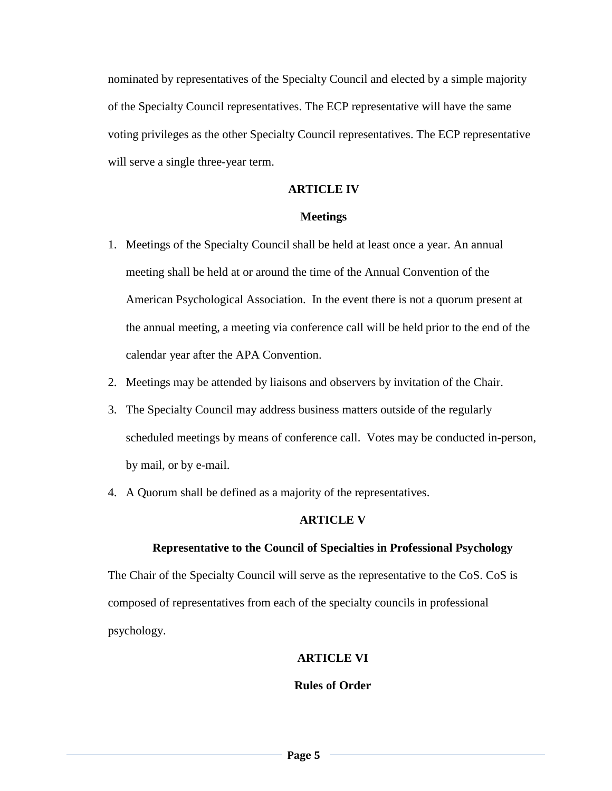nominated by representatives of the Specialty Council and elected by a simple majority of the Specialty Council representatives. The ECP representative will have the same voting privileges as the other Specialty Council representatives. The ECP representative will serve a single three-year term.

#### **ARTICLE IV**

#### **Meetings**

- 1. Meetings of the Specialty Council shall be held at least once a year. An annual meeting shall be held at or around the time of the Annual Convention of the American Psychological Association. In the event there is not a quorum present at the annual meeting, a meeting via conference call will be held prior to the end of the calendar year after the APA Convention.
- 2. Meetings may be attended by liaisons and observers by invitation of the Chair.
- 3. The Specialty Council may address business matters outside of the regularly scheduled meetings by means of conference call. Votes may be conducted in-person, by mail, or by e-mail.
- 4. A Quorum shall be defined as a majority of the representatives.

#### **ARTICLE V**

#### **Representative to the Council of Specialties in Professional Psychology**

The Chair of the Specialty Council will serve as the representative to the CoS. CoS is composed of representatives from each of the specialty councils in professional psychology.

### **ARTICLE VI**

### **Rules of Order**